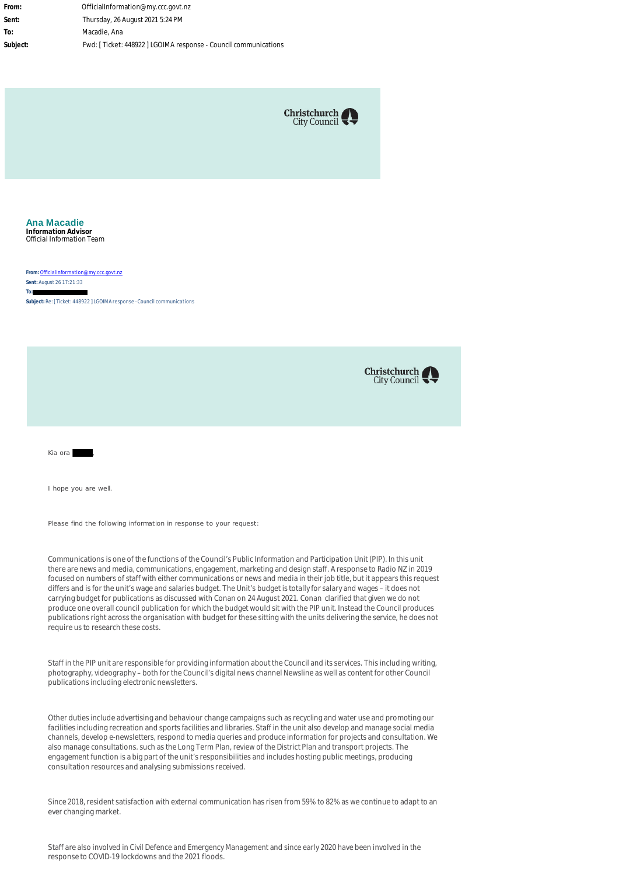**From:** OfficialInformation@my.ccc.govt.nz **Sent:** Thursday, 26 August 2021 5:24 PM **To:** Macadie, Ana **Subject:** Fwd: [ Ticket: 448922 ] LGOIMA response - Council communications



#### **Ana Macadie Information Advisor** Official Information Team

**From:** [OfficialInformation@my.ccc.govt.nz](mailto:OfficialInformation@my.ccc.govt.nz) **Sent:** August 26 17:21:33 **To:**

**Subject:** Re: [ Ticket: 448922 ] LGOIMA response - Council communications



Kia ora **kwa** 

I hope you are well.

Please find the following information in response to your request:

Communications is one of the functions of the Council's Public Information and Participation Unit (PIP). In this unit there are news and media, communications, engagement, marketing and design staff. A response to Radio NZ in 2019 focused on numbers of staff with either communications or news and media in their job title, but it appears this request differs and is for the unit's wage and salaries budget. The Unit's budget is totally for salary and wages – it does not carrying budget for publications as discussed with Conan on 24 August 2021. Conan clarified that given we do not produce one overall council publication for which the budget would sit with the PIP unit. Instead the Council produces publications right across the organisation with budget for these sitting with the units delivering the service, he does not require us to research these costs.

Staff in the PIP unit are responsible for providing information about the Council and its services. This including writing, photography, videography – both for the Council's digital news channel Newsline as well as content for other Council publications including electronic newsletters.

Other duties include advertising and behaviour change campaigns such as recycling and water use and promoting our facilities including recreation and sports facilities and libraries. Staff in the unit also develop and manage social media channels, develop e-newsletters, respond to media queries and produce information for projects and consultation. We also manage consultations. such as the Long Term Plan, review of the District Plan and transport projects. The engagement function is a big part of the unit's responsibilities and includes hosting public meetings, producing consultation resources and analysing submissions received.

Since 2018, resident satisfaction with external communication has risen from 59% to 82% as we continue to adapt to an ever changing market.

Staff are also involved in Civil Defence and Emergency Management and since early 2020 have been involved in the response to COVID-19 lockdowns and the 2021 floods.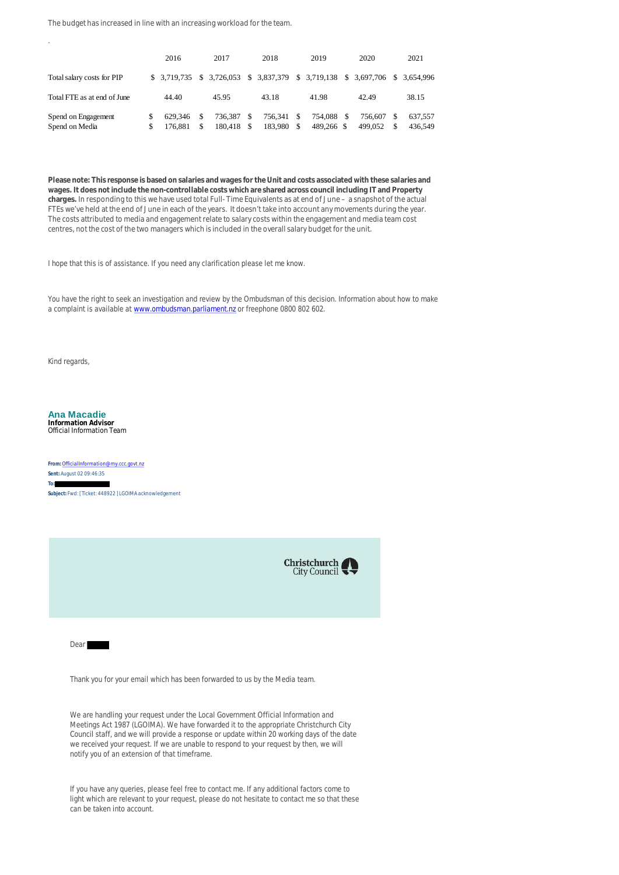The budget has increased in line with an increasing workload for the team.

|                                       |         | 2016               |         | 2017               |            | 2018                      |                                | 2019                  |   | 2020               |          | 2021               |
|---------------------------------------|---------|--------------------|---------|--------------------|------------|---------------------------|--------------------------------|-----------------------|---|--------------------|----------|--------------------|
| Total salary costs for PIP            |         | \$ 3,719,735       |         | \$3.726.053        |            | \$ 3,837,379 \$ 3,719,138 |                                |                       |   | \$ 3,697,706       |          | \$ 3.654,996       |
| Total FTE as at end of June           |         | 44.40              |         | 45.95              |            | 43.18                     |                                | 41.98                 |   | 42.49              |          | 38.15              |
| Spend on Engagement<br>Spend on Media | S<br>S. | 629.346<br>176.881 | S<br>\$ | 736.387<br>180.418 | -S<br>- \$ | 756,341<br>183.980        | <sup>\$</sup><br><sup>\$</sup> | 754.088<br>489,266 \$ | S | 756.607<br>499.052 | -S<br>-S | 637.557<br>436,549 |

**Please note: This response is based on salaries and wages for the Unit and costs associated with these salaries and wages. It does not include the non-controllable costs which are shared across council including IT and Property charges.** In responding to this we have used total Full- Time Equivalents as at end of June – a snapshot of the actual FTEs we've held at the end of June in each of the years. It doesn't take into account any movements during the year. The costs attributed to media and engagement relate to salary costs within the engagement and media team cost centres, not the cost of the two managers which is included in the overall salary budget for the unit.

I hope that this is of assistance. If you need any clarification please let me know.

You have the right to seek an investigation and review by the Ombudsman of this decision. Information about how to make a complaint is available at [www.ombudsman.parliament.nz](https://protect-au.mimecast.com/s/hl79C4QO90Cz45q5sx1xOT?domain=ombudsman.parliament.nz) or freephone 0800 802 602.

Kind regards,

.

**Ana Macadie Information Advisor** Official Information Team

**From:** [OfficialInformation@my.ccc.govt.nz](mailto:OfficialInformation@my.ccc.govt.nz) **Sent:** August 02 09:46:35 **To: Subject:** Fwd: [ Ticket: 448922 ] LGOIMA acknowledgement



Dear

Thank you for your email which has been forwarded to us by the Media team.

We are handling your request under the Local Government Official Information and Meetings Act 1987 (LGOIMA). We have forwarded it to the appropriate Christchurch City Council staff, and we will provide a response or update within 20 working days of the date we received your request. If we are unable to respond to your request by then, we will notify you of an extension of that timeframe.

If you have any queries, please feel free to contact me. If any additional factors come to light which are relevant to your request, please do not hesitate to contact me so that these can be taken into account.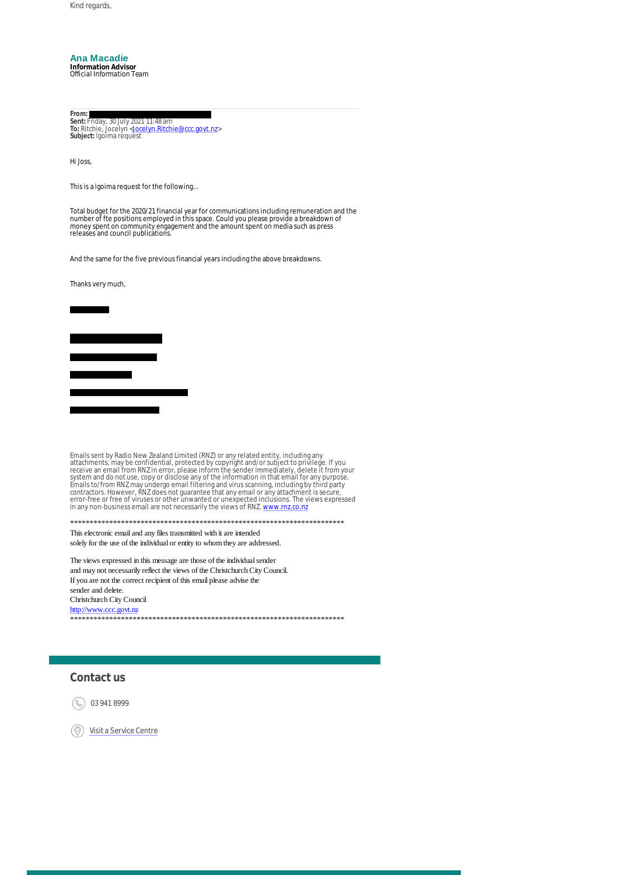Kind regards,

### **Ana Macadie**

**Information Advisor** Official Information Team

From:<br>Sent: Friday, 30 July 2021 11:48 am<br>To: Ritchie, Jocelyn <<u>[Jocelyn.Ritchie@ccc.govt.nz](mailto:Jocelyn.Ritchie@ccc.govt.nz)</u>> **Subject:** lgoima request

Hi Joss,

This is a lgoima request for the following...

Total budget for the 2020/21 financial year for communications including remuneration and the number of fte positions employed in this space. Could you please provide a breakdown of money spent on community engagement and the amount spent on media such as press releases and council publications.

And the same for the five previous financial years including the above breakdowns.

Thanks very much,



Emails sent by Radio New Zealand Limited (RNZ) or any related entity, including any<br>attachments, may be confidential, protected by copyright and/or subject to privilege. If you<br>receive an email from RNZ in error, please in in any non-business email are not necessarily the views of RNZ. [www.rnz.co.nz](https://protect-au.mimecast.com/s/jxuvC5QPWGCMk929cyqIys?domain=rnz.co.nz)

\*\*\*\*\*\*\*\*\*\*\*\*\*\*\*\*\*\*\*\*\*\*\*\*\*\*\*\*\*\*\*\*\*\*\*\*\*\*\*\*\*\*\*\*\*\*\*\*\*\*\*\*\*\*\*\*\*\*\*\*\*\*\*\*\*\*\*\*\*\* This electronic email and any files transmitted with it are intended solely for the use of the individual or entity to whom they are addressed.

The views expressed in this message are those of the individual sender and may not necessarily reflect the views of the Christchurch City Council. If you are not the correct recipient of this email please advise the sender and delete. Christchurch City Council [http://www.ccc.govt.nz](https://protect-au.mimecast.com/s/NjMSC6XQ0JfPLmqms5Gaj6?domain=ccc.govt.nz) \*\*\*\*\*\*\*\*\*\*\*\*\*\*\*\*\*\*\*\*\*\*\*\*\*\*\*\*\*\*\*\*\*\*\*\*\*\*\*\*\*\*\*\*\*\*\*\*\*\*\*\*\*\*\*\*\*\*\*\*\*\*\*\*\*\*\*\*\*\*

## **Contact us**

03 941 8999 (R)

[Visit a Service Centre](https://protect-au.mimecast.com/s/IUwsC71RAKtzGNwNsqcPI0?domain=ccc.govt.nz)